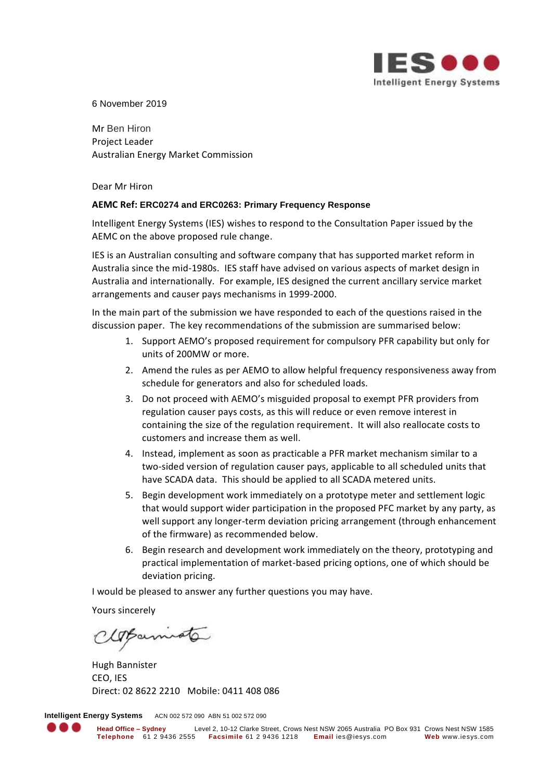

6 November 2019

Mr Ben Hiron Project Leader Australian Energy Market Commission

Dear Mr Hiron

### **AEMC Ref: ERC0274 and ERC0263: Primary Frequency Response**

Intelligent Energy Systems (IES) wishes to respond to the Consultation Paper issued by the AEMC on the above proposed rule change.

IES is an Australian consulting and software company that has supported market reform in Australia since the mid-1980s. IES staff have advised on various aspects of market design in Australia and internationally. For example, IES designed the current ancillary service market arrangements and causer pays mechanisms in 1999-2000.

In the main part of the submission we have responded to each of the questions raised in the discussion paper. The key recommendations of the submission are summarised below:

- 1. Support AEMO's proposed requirement for compulsory PFR capability but only for units of 200MW or more.
- 2. Amend the rules as per AEMO to allow helpful frequency responsiveness away from schedule for generators and also for scheduled loads.
- 3. Do not proceed with AEMO's misguided proposal to exempt PFR providers from regulation causer pays costs, as this will reduce or even remove interest in containing the size of the regulation requirement. It will also reallocate costs to customers and increase them as well.
- 4. Instead, implement as soon as practicable a PFR market mechanism similar to a two-sided version of regulation causer pays, applicable to all scheduled units that have SCADA data. This should be applied to all SCADA metered units.
- 5. Begin development work immediately on a prototype meter and settlement logic that would support wider participation in the proposed PFC market by any party, as well support any longer-term deviation pricing arrangement (through enhancement of the firmware) as recommended below.
- 6. Begin research and development work immediately on the theory, prototyping and practical implementation of market-based pricing options, one of which should be deviation pricing.

I would be pleased to answer any further questions you may have.

Yours sincerely

Opamioto

Hugh Bannister CEO, IES Direct: 02 8622 2210 Mobile: 0411 408 086

**Intelligent Energy Systems** ACN 002 572 090 ABN 51 002 572 090

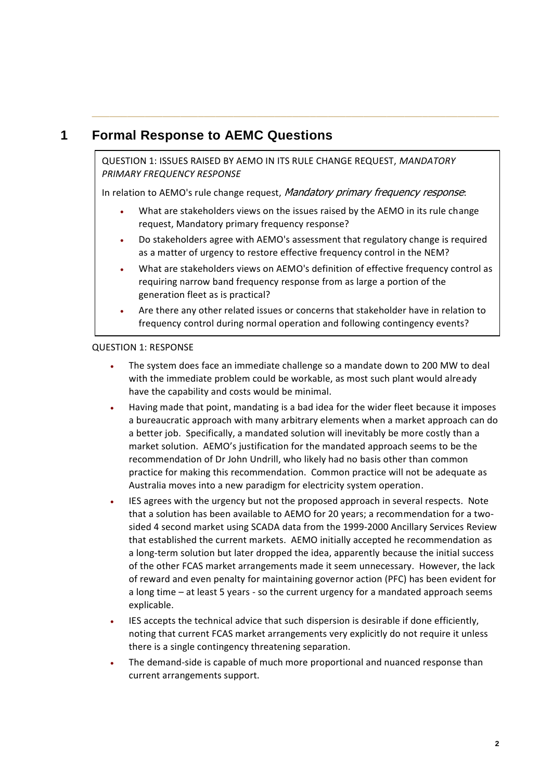# **1 Formal Response to AEMC Questions**

QUESTION 1: ISSUES RAISED BY AEMO IN ITS RULE CHANGE REQUEST, *MANDATORY PRIMARY FREQUENCY RESPONSE* 

**\_\_\_\_\_\_\_\_\_\_\_\_\_\_\_\_\_\_\_\_\_\_\_\_\_\_\_\_\_\_\_\_\_\_\_\_\_\_\_\_\_\_\_\_\_\_\_\_\_\_\_\_\_\_\_\_\_\_\_\_\_\_\_\_\_\_\_\_\_**

In relation to AEMO's rule change request, Mandatory primary frequency response:

- What are stakeholders views on the issues raised by the AEMO in its rule change request, Mandatory primary frequency response?
- Do stakeholders agree with AEMO's assessment that regulatory change is required as a matter of urgency to restore effective frequency control in the NEM?
- What are stakeholders views on AEMO's definition of effective frequency control as requiring narrow band frequency response from as large a portion of the generation fleet as is practical?
- Are there any other related issues or concerns that stakeholder have in relation to frequency control during normal operation and following contingency events?

## QUESTION 1: RESPONSE

- The system does face an immediate challenge so a mandate down to 200 MW to deal with the immediate problem could be workable, as most such plant would already have the capability and costs would be minimal.
- Having made that point, mandating is a bad idea for the wider fleet because it imposes a bureaucratic approach with many arbitrary elements when a market approach can do a better job. Specifically, a mandated solution will inevitably be more costly than a market solution. AEMO's justification for the mandated approach seems to be the recommendation of Dr John Undrill, who likely had no basis other than common practice for making this recommendation. Common practice will not be adequate as Australia moves into a new paradigm for electricity system operation.
- IES agrees with the urgency but not the proposed approach in several respects. Note that a solution has been available to AEMO for 20 years; a recommendation for a twosided 4 second market using SCADA data from the 1999-2000 Ancillary Services Review that established the current markets. AEMO initially accepted he recommendation as a long-term solution but later dropped the idea, apparently because the initial success of the other FCAS market arrangements made it seem unnecessary. However, the lack of reward and even penalty for maintaining governor action (PFC) has been evident for a long time – at least 5 years - so the current urgency for a mandated approach seems explicable.
- IES accepts the technical advice that such dispersion is desirable if done efficiently, noting that current FCAS market arrangements very explicitly do not require it unless there is a single contingency threatening separation.
- The demand-side is capable of much more proportional and nuanced response than current arrangements support.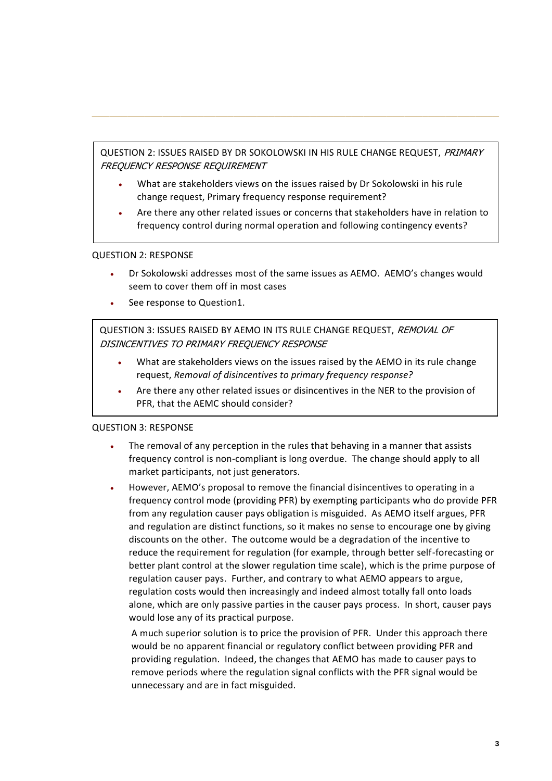QUESTION 2: ISSUES RAISED BY DR SOKOLOWSKI IN HIS RULE CHANGE REQUEST, PRIMARY FREQUENCY RESPONSE REQUIREMENT

**\_\_\_\_\_\_\_\_\_\_\_\_\_\_\_\_\_\_\_\_\_\_\_\_\_\_\_\_\_\_\_\_\_\_\_\_\_\_\_\_\_\_\_\_\_\_\_\_\_\_\_\_\_\_\_\_\_\_\_\_\_\_\_\_\_\_\_\_\_**

- What are stakeholders views on the issues raised by Dr Sokolowski in his rule change request, Primary frequency response requirement?
- Are there any other related issues or concerns that stakeholders have in relation to frequency control during normal operation and following contingency events?

### QUESTION 2: RESPONSE

- Dr Sokolowski addresses most of the same issues as AEMO. AEMO's changes would seem to cover them off in most cases
- See response to Question1.

QUESTION 3: ISSUES RAISED BY AEMO IN ITS RULE CHANGE REQUEST, REMOVAL OF DISINCENTIVES TO PRIMARY FREQUENCY RESPONSE

- What are stakeholders views on the issues raised by the AEMO in its rule change request, *Removal of disincentives to primary frequency response?*
- Are there any other related issues or disincentives in the NER to the provision of PFR, that the AEMC should consider?

#### QUESTION 3: RESPONSE

- The removal of any perception in the rules that behaving in a manner that assists frequency control is non-compliant is long overdue. The change should apply to all market participants, not just generators.
- However, AEMO's proposal to remove the financial disincentives to operating in a frequency control mode (providing PFR) by exempting participants who do provide PFR from any regulation causer pays obligation is misguided. As AEMO itself argues, PFR and regulation are distinct functions, so it makes no sense to encourage one by giving discounts on the other. The outcome would be a degradation of the incentive to reduce the requirement for regulation (for example, through better self-forecasting or better plant control at the slower regulation time scale), which is the prime purpose of regulation causer pays. Further, and contrary to what AEMO appears to argue, regulation costs would then increasingly and indeed almost totally fall onto loads alone, which are only passive parties in the causer pays process. In short, causer pays would lose any of its practical purpose.

A much superior solution is to price the provision of PFR. Under this approach there would be no apparent financial or regulatory conflict between providing PFR and providing regulation. Indeed, the changes that AEMO has made to causer pays to remove periods where the regulation signal conflicts with the PFR signal would be unnecessary and are in fact misguided.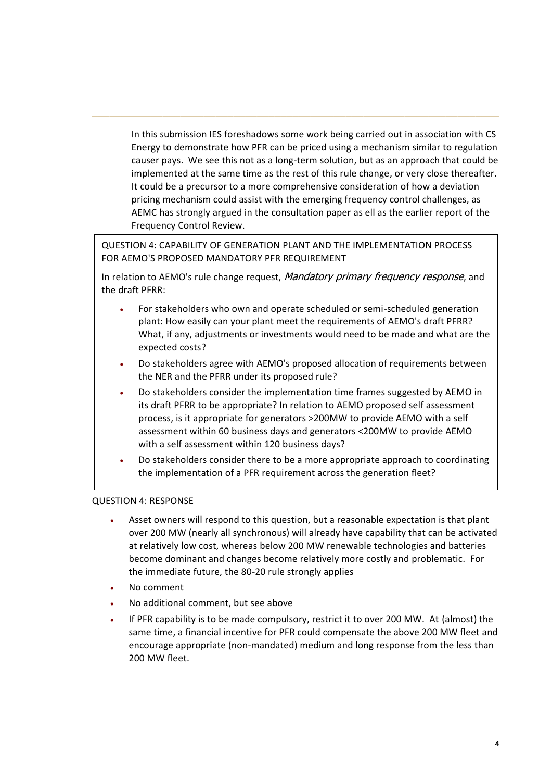In this submission IES foreshadows some work being carried out in association with CS Energy to demonstrate how PFR can be priced using a mechanism similar to regulation causer pays. We see this not as a long-term solution, but as an approach that could be implemented at the same time as the rest of this rule change, or very close thereafter. It could be a precursor to a more comprehensive consideration of how a deviation pricing mechanism could assist with the emerging frequency control challenges, as AEMC has strongly argued in the consultation paper as ell as the earlier report of the Frequency Control Review.

**\_\_\_\_\_\_\_\_\_\_\_\_\_\_\_\_\_\_\_\_\_\_\_\_\_\_\_\_\_\_\_\_\_\_\_\_\_\_\_\_\_\_\_\_\_\_\_\_\_\_\_\_\_\_\_\_\_\_\_\_\_\_\_\_\_\_\_\_\_**

QUESTION 4: CAPABILITY OF GENERATION PLANT AND THE IMPLEMENTATION PROCESS FOR AEMO'S PROPOSED MANDATORY PFR REQUIREMENT

In relation to AEMO's rule change request, Mandatory primary frequency response, and the draft PFRR:

- For stakeholders who own and operate scheduled or semi-scheduled generation plant: How easily can your plant meet the requirements of AEMO's draft PFRR? What, if any, adjustments or investments would need to be made and what are the expected costs?
- Do stakeholders agree with AEMO's proposed allocation of requirements between the NER and the PFRR under its proposed rule?
- Do stakeholders consider the implementation time frames suggested by AEMO in its draft PFRR to be appropriate? In relation to AEMO proposed self assessment process, is it appropriate for generators >200MW to provide AEMO with a self assessment within 60 business days and generators <200MW to provide AEMO with a self assessment within 120 business days?
- Do stakeholders consider there to be a more appropriate approach to coordinating the implementation of a PFR requirement across the generation fleet?

### QUESTION 4: RESPONSE

- Asset owners will respond to this question, but a reasonable expectation is that plant over 200 MW (nearly all synchronous) will already have capability that can be activated at relatively low cost, whereas below 200 MW renewable technologies and batteries become dominant and changes become relatively more costly and problematic. For the immediate future, the 80-20 rule strongly applies
- No comment
- No additional comment, but see above
- If PFR capability is to be made compulsory, restrict it to over 200 MW. At (almost) the same time, a financial incentive for PFR could compensate the above 200 MW fleet and encourage appropriate (non-mandated) medium and long response from the less than 200 MW fleet.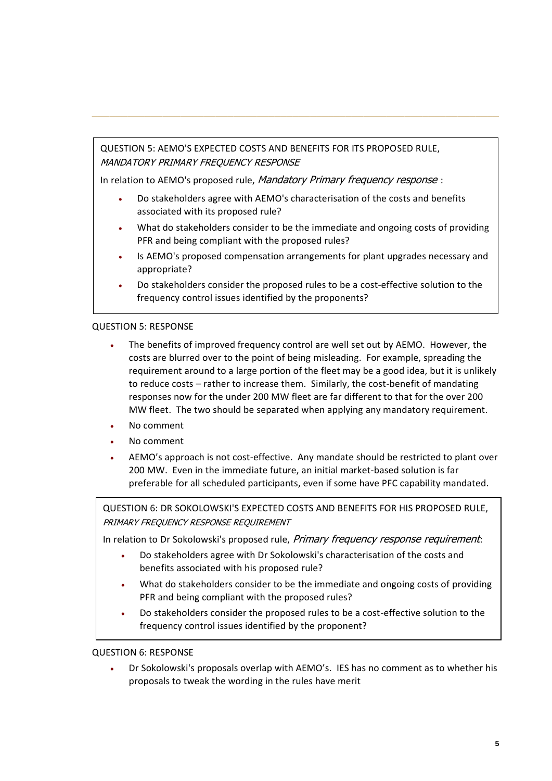QUESTION 5: AEMO'S EXPECTED COSTS AND BENEFITS FOR ITS PROPOSED RULE, MANDATORY PRIMARY FREQUENCY RESPONSE

In relation to AEMO's proposed rule, Mandatory Primary frequency response :

• Do stakeholders agree with AEMO's characterisation of the costs and benefits associated with its proposed rule?

**\_\_\_\_\_\_\_\_\_\_\_\_\_\_\_\_\_\_\_\_\_\_\_\_\_\_\_\_\_\_\_\_\_\_\_\_\_\_\_\_\_\_\_\_\_\_\_\_\_\_\_\_\_\_\_\_\_\_\_\_\_\_\_\_\_\_\_\_\_**

- What do stakeholders consider to be the immediate and ongoing costs of providing PFR and being compliant with the proposed rules?
- Is AEMO's proposed compensation arrangements for plant upgrades necessary and appropriate?
- Do stakeholders consider the proposed rules to be a cost-effective solution to the frequency control issues identified by the proponents?

## QUESTION 5: RESPONSE

- The benefits of improved frequency control are well set out by AEMO. However, the costs are blurred over to the point of being misleading. For example, spreading the requirement around to a large portion of the fleet may be a good idea, but it is unlikely to reduce costs – rather to increase them. Similarly, the cost-benefit of mandating responses now for the under 200 MW fleet are far different to that for the over 200 MW fleet. The two should be separated when applying any mandatory requirement.
- No comment
- No comment
- AEMO's approach is not cost-effective. Any mandate should be restricted to plant over 200 MW. Even in the immediate future, an initial market-based solution is far preferable for all scheduled participants, even if some have PFC capability mandated.

QUESTION 6: DR SOKOLOWSKI'S EXPECTED COSTS AND BENEFITS FOR HIS PROPOSED RULE, PRIMARY FREQUENCY RESPONSE REQUIREMENT

In relation to Dr Sokolowski's proposed rule, *Primary frequency response requirement*:

- Do stakeholders agree with Dr Sokolowski's characterisation of the costs and benefits associated with his proposed rule?
- What do stakeholders consider to be the immediate and ongoing costs of providing PFR and being compliant with the proposed rules?
- Do stakeholders consider the proposed rules to be a cost-effective solution to the frequency control issues identified by the proponent?

QUESTION 6: RESPONSE

• Dr Sokolowski's proposals overlap with AEMO's. IES has no comment as to whether his proposals to tweak the wording in the rules have merit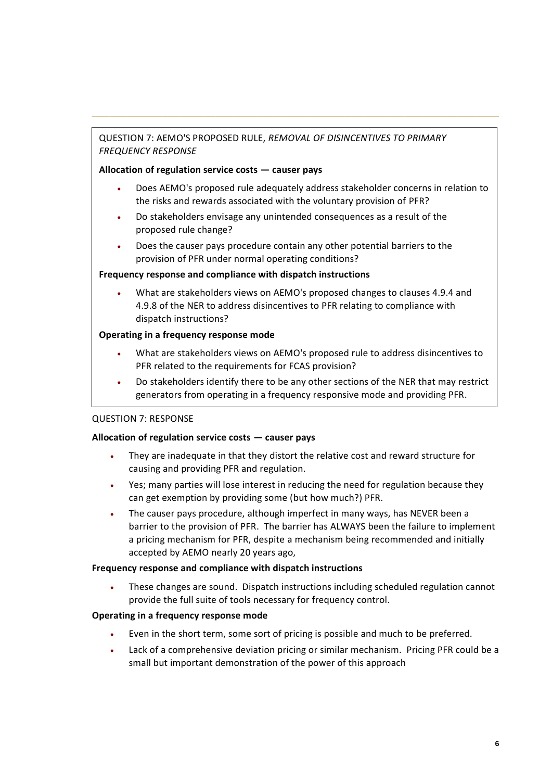# QUESTION 7: AEMO'S PROPOSED RULE, *REMOVAL OF DISINCENTIVES TO PRIMARY FREQUENCY RESPONSE*

# **Allocation of regulation service costs — causer pays**

• Does AEMO's proposed rule adequately address stakeholder concerns in relation to the risks and rewards associated with the voluntary provision of PFR?

**\_\_\_\_\_\_\_\_\_\_\_\_\_\_\_\_\_\_\_\_\_\_\_\_\_\_\_\_\_\_\_\_\_\_\_\_\_\_\_\_\_\_\_\_\_\_\_\_\_\_\_\_\_\_\_\_\_\_\_\_\_\_\_\_\_\_\_\_\_**

- Do stakeholders envisage any unintended consequences as a result of the proposed rule change?
- Does the causer pays procedure contain any other potential barriers to the provision of PFR under normal operating conditions?

## **Frequency response and compliance with dispatch instructions**

• What are stakeholders views on AEMO's proposed changes to clauses 4.9.4 and 4.9.8 of the NER to address disincentives to PFR relating to compliance with dispatch instructions?

# **Operating in a frequency response mode**

- What are stakeholders views on AEMO's proposed rule to address disincentives to PFR related to the requirements for FCAS provision?
- Do stakeholders identify there to be any other sections of the NER that may restrict generators from operating in a frequency responsive mode and providing PFR.

# QUESTION 7: RESPONSE

# **Allocation of regulation service costs — causer pays**

- They are inadequate in that they distort the relative cost and reward structure for causing and providing PFR and regulation.
- Yes; many parties will lose interest in reducing the need for regulation because they can get exemption by providing some (but how much?) PFR.
- The causer pays procedure, although imperfect in many ways, has NEVER been a barrier to the provision of PFR. The barrier has ALWAYS been the failure to implement a pricing mechanism for PFR, despite a mechanism being recommended and initially accepted by AEMO nearly 20 years ago,

### **Frequency response and compliance with dispatch instructions**

• These changes are sound. Dispatch instructions including scheduled regulation cannot provide the full suite of tools necessary for frequency control.

# **Operating in a frequency response mode**

- Even in the short term, some sort of pricing is possible and much to be preferred.
- Lack of a comprehensive deviation pricing or similar mechanism. Pricing PFR could be a small but important demonstration of the power of this approach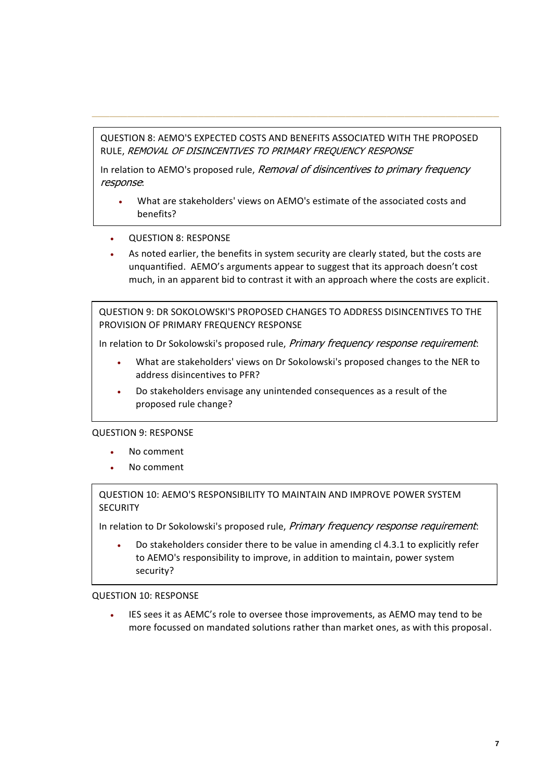# QUESTION 8: AEMO'S EXPECTED COSTS AND BENEFITS ASSOCIATED WITH THE PROPOSED RULE, REMOVAL OF DISINCENTIVES TO PRIMARY FREQUENCY RESPONSE

**\_\_\_\_\_\_\_\_\_\_\_\_\_\_\_\_\_\_\_\_\_\_\_\_\_\_\_\_\_\_\_\_\_\_\_\_\_\_\_\_\_\_\_\_\_\_\_\_\_\_\_\_\_\_\_\_\_\_\_\_\_\_\_\_\_\_\_\_\_**

In relation to AEMO's proposed rule, Removal of disincentives to primary frequency response:

- What are stakeholders' views on AEMO's estimate of the associated costs and benefits?
- QUESTION 8: RESPONSE
- As noted earlier, the benefits in system security are clearly stated, but the costs are unquantified. AEMO's arguments appear to suggest that its approach doesn't cost much, in an apparent bid to contrast it with an approach where the costs are explicit.

QUESTION 9: DR SOKOLOWSKI'S PROPOSED CHANGES TO ADDRESS DISINCENTIVES TO THE PROVISION OF PRIMARY FREQUENCY RESPONSE

In relation to Dr Sokolowski's proposed rule, Primary frequency response requirement:

- What are stakeholders' views on Dr Sokolowski's proposed changes to the NER to address disincentives to PFR?
- Do stakeholders envisage any unintended consequences as a result of the proposed rule change?

# QUESTION 9: RESPONSE

- No comment
- No comment

# QUESTION 10: AEMO'S RESPONSIBILITY TO MAINTAIN AND IMPROVE POWER SYSTEM **SECURITY**

In relation to Dr Sokolowski's proposed rule, Primary frequency response requirement:

• Do stakeholders consider there to be value in amending cl 4.3.1 to explicitly refer to AEMO's responsibility to improve, in addition to maintain, power system security?

### QUESTION 10: RESPONSE

• IES sees it as AEMC's role to oversee those improvements, as AEMO may tend to be more focussed on mandated solutions rather than market ones, as with this proposal.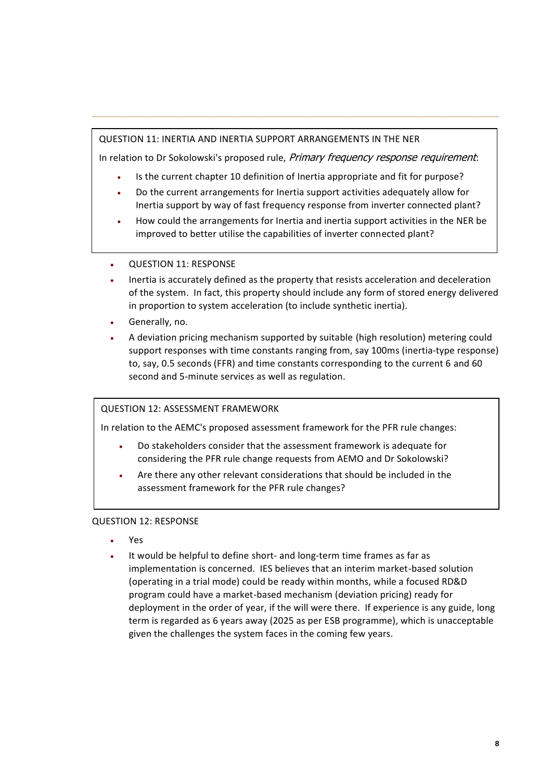# QUESTION 11: INERTIA AND INERTIA SUPPORT ARRANGEMENTS IN THE NER

In relation to Dr Sokolowski's proposed rule, *Primary frequency response requirement*:

**\_\_\_\_\_\_\_\_\_\_\_\_\_\_\_\_\_\_\_\_\_\_\_\_\_\_\_\_\_\_\_\_\_\_\_\_\_\_\_\_\_\_\_\_\_\_\_\_\_\_\_\_\_\_\_\_\_\_\_\_\_\_\_\_\_\_\_\_\_**

- Is the current chapter 10 definition of Inertia appropriate and fit for purpose?
- Do the current arrangements for Inertia support activities adequately allow for Inertia support by way of fast frequency response from inverter connected plant?
- How could the arrangements for Inertia and inertia support activities in the NER be improved to better utilise the capabilities of inverter connected plant?
- QUESTION 11: RESPONSE
- Inertia is accurately defined as the property that resists acceleration and deceleration of the system. In fact, this property should include any form of stored energy delivered in proportion to system acceleration (to include synthetic inertia).
- Generally, no.
- A deviation pricing mechanism supported by suitable (high resolution) metering could support responses with time constants ranging from, say 100ms (inertia-type response) to, say, 0.5 seconds (FFR) and time constants corresponding to the current 6 and 60 second and 5-minute services as well as regulation.

# QUESTION 12: ASSESSMENT FRAMEWORK

In relation to the AEMC's proposed assessment framework for the PFR rule changes:

- Do stakeholders consider that the assessment framework is adequate for considering the PFR rule change requests from AEMO and Dr Sokolowski?
- Are there any other relevant considerations that should be included in the assessment framework for the PFR rule changes?

# QUESTION 12: RESPONSE

- Yes
- It would be helpful to define short- and long-term time frames as far as implementation is concerned. IES believes that an interim market-based solution (operating in a trial mode) could be ready within months, while a focused RD&D program could have a market-based mechanism (deviation pricing) ready for deployment in the order of year, if the will were there. If experience is any guide, long term is regarded as 6 years away (2025 as per ESB programme), which is unacceptable given the challenges the system faces in the coming few years.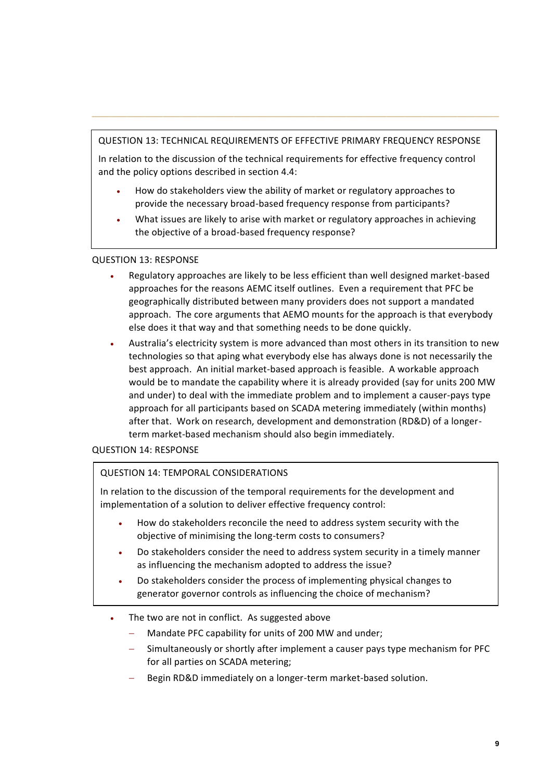# QUESTION 13: TECHNICAL REQUIREMENTS OF EFFECTIVE PRIMARY FREQUENCY RESPONSE

**\_\_\_\_\_\_\_\_\_\_\_\_\_\_\_\_\_\_\_\_\_\_\_\_\_\_\_\_\_\_\_\_\_\_\_\_\_\_\_\_\_\_\_\_\_\_\_\_\_\_\_\_\_\_\_\_\_\_\_\_\_\_\_\_\_\_\_\_\_**

In relation to the discussion of the technical requirements for effective frequency control and the policy options described in section 4.4:

- How do stakeholders view the ability of market or regulatory approaches to provide the necessary broad-based frequency response from participants?
- What issues are likely to arise with market or regulatory approaches in achieving the objective of a broad-based frequency response?

## QUESTION 13: RESPONSE

- Regulatory approaches are likely to be less efficient than well designed market-based approaches for the reasons AEMC itself outlines. Even a requirement that PFC be geographically distributed between many providers does not support a mandated approach. The core arguments that AEMO mounts for the approach is that everybody else does it that way and that something needs to be done quickly.
- Australia's electricity system is more advanced than most others in its transition to new technologies so that aping what everybody else has always done is not necessarily the best approach. An initial market-based approach is feasible. A workable approach would be to mandate the capability where it is already provided (say for units 200 MW and under) to deal with the immediate problem and to implement a causer-pays type approach for all participants based on SCADA metering immediately (within months) after that. Work on research, development and demonstration (RD&D) of a longerterm market-based mechanism should also begin immediately.

# QUESTION 14: RESPONSE

# QUESTION 14: TEMPORAL CONSIDERATIONS

In relation to the discussion of the temporal requirements for the development and implementation of a solution to deliver effective frequency control:

- How do stakeholders reconcile the need to address system security with the objective of minimising the long-term costs to consumers?
- Do stakeholders consider the need to address system security in a timely manner as influencing the mechanism adopted to address the issue?
- Do stakeholders consider the process of implementing physical changes to generator governor controls as influencing the choice of mechanism?
- The two are not in conflict. As suggested above
	- Mandate PFC capability for units of 200 MW and under;
	- Simultaneously or shortly after implement a causer pays type mechanism for PFC for all parties on SCADA metering;
	- Begin RD&D immediately on a longer-term market-based solution.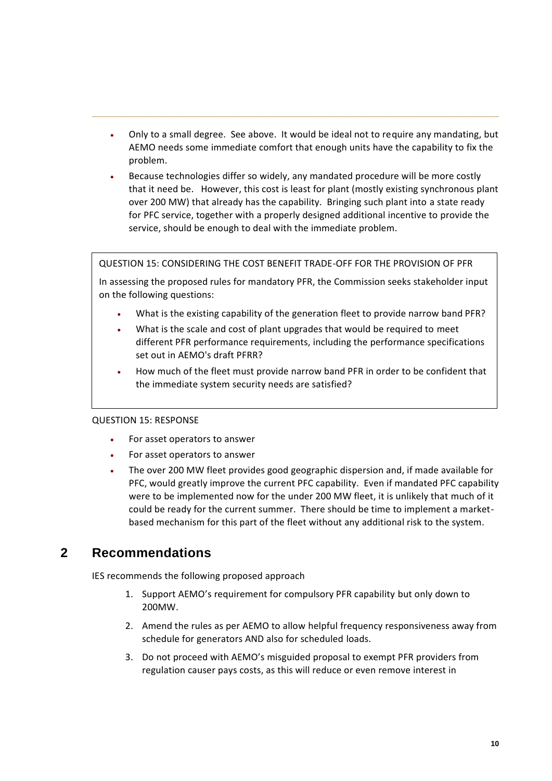• Only to a small degree. See above. It would be ideal not to require any mandating, but AEMO needs some immediate comfort that enough units have the capability to fix the problem.

**\_\_\_\_\_\_\_\_\_\_\_\_\_\_\_\_\_\_\_\_\_\_\_\_\_\_\_\_\_\_\_\_\_\_\_\_\_\_\_\_\_\_\_\_\_\_\_\_\_\_\_\_\_\_\_\_\_\_\_\_\_\_\_\_\_\_\_\_\_**

• Because technologies differ so widely, any mandated procedure will be more costly that it need be. However, this cost is least for plant (mostly existing synchronous plant over 200 MW) that already has the capability. Bringing such plant into a state ready for PFC service, together with a properly designed additional incentive to provide the service, should be enough to deal with the immediate problem.

QUESTION 15: CONSIDERING THE COST BENEFIT TRADE-OFF FOR THE PROVISION OF PFR

In assessing the proposed rules for mandatory PFR, the Commission seeks stakeholder input on the following questions:

- What is the existing capability of the generation fleet to provide narrow band PFR?
- What is the scale and cost of plant upgrades that would be required to meet different PFR performance requirements, including the performance specifications set out in AEMO's draft PFRR?
- How much of the fleet must provide narrow band PFR in order to be confident that the immediate system security needs are satisfied?

### QUESTION 15: RESPONSE

- For asset operators to answer
- For asset operators to answer
- The over 200 MW fleet provides good geographic dispersion and, if made available for PFC, would greatly improve the current PFC capability. Even if mandated PFC capability were to be implemented now for the under 200 MW fleet, it is unlikely that much of it could be ready for the current summer. There should be time to implement a marketbased mechanism for this part of the fleet without any additional risk to the system.

# **2 Recommendations**

IES recommends the following proposed approach

- 1. Support AEMO's requirement for compulsory PFR capability but only down to 200MW.
- 2. Amend the rules as per AEMO to allow helpful frequency responsiveness away from schedule for generators AND also for scheduled loads.
- 3. Do not proceed with AEMO's misguided proposal to exempt PFR providers from regulation causer pays costs, as this will reduce or even remove interest in